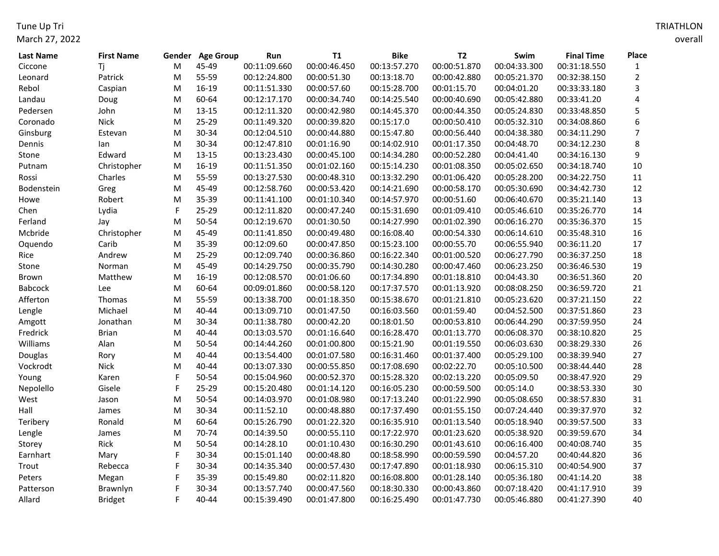Tune Up Tri March 27, 2022

| Last Name  | <b>First Name</b> | Gender    | <b>Age Group</b> | Run          | T1           | <b>Bike</b>  | <b>T2</b>    | Swim         | <b>Final Time</b> | Place          |
|------------|-------------------|-----------|------------------|--------------|--------------|--------------|--------------|--------------|-------------------|----------------|
| Ciccone    | Τj                | ${\sf M}$ | 45-49            | 00:11:09.660 | 00:00:46.450 | 00:13:57.270 | 00:00:51.870 | 00:04:33.300 | 00:31:18.550      | $\mathbf{1}$   |
| Leonard    | Patrick           | ${\sf M}$ | 55-59            | 00:12:24.800 | 00:00:51.30  | 00:13:18.70  | 00:00:42.880 | 00:05:21.370 | 00:32:38.150      | $\overline{2}$ |
| Rebol      | Caspian           | M         | 16-19            | 00:11:51.330 | 00:00:57.60  | 00:15:28.700 | 00:01:15.70  | 00:04:01.20  | 00:33:33.180      | 3              |
| Landau     | Doug              | M         | 60-64            | 00:12:17.170 | 00:00:34.740 | 00:14:25.540 | 00:00:40.690 | 00:05:42.880 | 00:33:41.20       | 4              |
| Pedersen   | John              | M         | 13-15            | 00:12:11.320 | 00:00:42.980 | 00:14:45.370 | 00:00:44.350 | 00:05:24.830 | 00:33:48.850      | 5              |
| Coronado   | Nick              | M         | 25-29            | 00:11:49.320 | 00:00:39.820 | 00:15:17.0   | 00:00:50.410 | 00:05:32.310 | 00:34:08.860      | 6              |
| Ginsburg   | Estevan           | Μ         | 30-34            | 00:12:04.510 | 00:00:44.880 | 00:15:47.80  | 00:00:56.440 | 00:04:38.380 | 00:34:11.290      | $\overline{7}$ |
| Dennis     | lan               | M         | 30-34            | 00:12:47.810 | 00:01:16.90  | 00:14:02.910 | 00:01:17.350 | 00:04:48.70  | 00:34:12.230      | 8              |
| Stone      | Edward            | M         | 13-15            | 00:13:23.430 | 00:00:45.100 | 00:14:34.280 | 00:00:52.280 | 00:04:41.40  | 00:34:16.130      | 9              |
| Putnam     | Christopher       | M         | 16-19            | 00:11:51.350 | 00:01:02.160 | 00:15:14.230 | 00:01:08.350 | 00:05:02.650 | 00:34:18.740      | 10             |
| Rossi      | Charles           | M         | 55-59            | 00:13:27.530 | 00:00:48.310 | 00:13:32.290 | 00:01:06.420 | 00:05:28.200 | 00:34:22.750      | 11             |
| Bodenstein | Greg              | M         | 45-49            | 00:12:58.760 | 00:00:53.420 | 00:14:21.690 | 00:00:58.170 | 00:05:30.690 | 00:34:42.730      | 12             |
| Howe       | Robert            | M         | 35-39            | 00:11:41.100 | 00:01:10.340 | 00:14:57.970 | 00:00:51.60  | 00:06:40.670 | 00:35:21.140      | 13             |
| Chen       | Lydia             | F         | 25-29            | 00:12:11.820 | 00:00:47.240 | 00:15:31.690 | 00:01:09.410 | 00:05:46.610 | 00:35:26.770      | 14             |
| Ferland    | Jay               | M         | 50-54            | 00:12:19.670 | 00:01:30.50  | 00:14:27.990 | 00:01:02.390 | 00:06:16.270 | 00:35:36.370      | 15             |
| Mcbride    | Christopher       | M         | 45-49            | 00:11:41.850 | 00:00:49.480 | 00:16:08.40  | 00:00:54.330 | 00:06:14.610 | 00:35:48.310      | 16             |
| Oquendo    | Carib             | M         | 35-39            | 00:12:09.60  | 00:00:47.850 | 00:15:23.100 | 00:00:55.70  | 00:06:55.940 | 00:36:11.20       | 17             |
| Rice       | Andrew            | M         | 25-29            | 00:12:09.740 | 00:00:36.860 | 00:16:22.340 | 00:01:00.520 | 00:06:27.790 | 00:36:37.250      | 18             |
| Stone      | Norman            | Μ         | 45-49            | 00:14:29.750 | 00:00:35.790 | 00:14:30.280 | 00:00:47.460 | 00:06:23.250 | 00:36:46.530      | 19             |
| Brown      | Matthew           | M         | 16-19            | 00:12:08.570 | 00:01:06.60  | 00:17:34.890 | 00:01:18.810 | 00:04:43.30  | 00:36:51.360      | 20             |
| Babcock    | Lee               | M         | 60-64            | 00:09:01.860 | 00:00:58.120 | 00:17:37.570 | 00:01:13.920 | 00:08:08.250 | 00:36:59.720      | 21             |
| Afferton   | Thomas            | M         | 55-59            | 00:13:38.700 | 00:01:18.350 | 00:15:38.670 | 00:01:21.810 | 00:05:23.620 | 00:37:21.150      | 22             |
| Lengle     | Michael           | M         | 40-44            | 00:13:09.710 | 00:01:47.50  | 00:16:03.560 | 00:01:59.40  | 00:04:52.500 | 00:37:51.860      | 23             |
| Amgott     | Jonathan          | M         | 30-34            | 00:11:38.780 | 00:00:42.20  | 00:18:01.50  | 00:00:53.810 | 00:06:44.290 | 00:37:59.950      | 24             |
| Fredrick   | <b>Brian</b>      | M         | 40-44            | 00:13:03.570 | 00:01:16.640 | 00:16:28.470 | 00:01:13.770 | 00:06:08.370 | 00:38:10.820      | 25             |
| Williams   | Alan              | M         | 50-54            | 00:14:44.260 | 00:01:00.800 | 00:15:21.90  | 00:01:19.550 | 00:06:03.630 | 00:38:29.330      | 26             |
| Douglas    | Rory              | M         | 40-44            | 00:13:54.400 | 00:01:07.580 | 00:16:31.460 | 00:01:37.400 | 00:05:29.100 | 00:38:39.940      | 27             |
| Vockrodt   | <b>Nick</b>       | M         | 40-44            | 00:13:07.330 | 00:00:55.850 | 00:17:08.690 | 00:02:22.70  | 00:05:10.500 | 00:38:44.440      | 28             |
| Young      | Karen             | F         | 50-54            | 00:15:04.960 | 00:00:52.370 | 00:15:28.320 | 00:02:13.220 | 00:05:09.50  | 00:38:47.920      | 29             |
| Nepolello  | Gisele            | F         | 25-29            | 00:15:20.480 | 00:01:14.120 | 00:16:05.230 | 00:00:59.500 | 00:05:14.0   | 00:38:53.330      | 30             |
| West       | Jason             | M         | 50-54            | 00:14:03.970 | 00:01:08.980 | 00:17:13.240 | 00:01:22.990 | 00:05:08.650 | 00:38:57.830      | 31             |
| Hall       | James             | M         | 30-34            | 00:11:52.10  | 00:00:48.880 | 00:17:37.490 | 00:01:55.150 | 00:07:24.440 | 00:39:37.970      | 32             |
| Teribery   | Ronald            | M         | 60-64            | 00:15:26.790 | 00:01:22.320 | 00:16:35.910 | 00:01:13.540 | 00:05:18.940 | 00:39:57.500      | 33             |
| Lengle     | James             | M         | 70-74            | 00:14:39.50  | 00:00:55.110 | 00:17:22.970 | 00:01:23.620 | 00:05:38.920 | 00:39:59.670      | 34             |
| Storey     | Rick              | M         | 50-54            | 00:14:28.10  | 00:01:10.430 | 00:16:30.290 | 00:01:43.610 | 00:06:16.400 | 00:40:08.740      | 35             |
| Earnhart   | Mary              | F         | 30-34            | 00:15:01.140 | 00:00:48.80  | 00:18:58.990 | 00:00:59.590 | 00:04:57.20  | 00:40:44.820      | 36             |
| Trout      | Rebecca           | F         | 30-34            | 00:14:35.340 | 00:00:57.430 | 00:17:47.890 | 00:01:18.930 | 00:06:15.310 | 00:40:54.900      | 37             |
| Peters     | Megan             | F         | 35-39            | 00:15:49.80  | 00:02:11.820 | 00:16:08.800 | 00:01:28.140 | 00:05:36.180 | 00:41:14.20       | 38             |
| Patterson  | Brawnlyn          | F         | 30-34            | 00:13:57.740 | 00:00:47.560 | 00:18:30.330 | 00:00:43.860 | 00:07:18.420 | 00:41:17.910      | 39             |
| Allard     | <b>Bridget</b>    | F         | 40-44            | 00:15:39.490 | 00:01:47.800 | 00:16:25.490 | 00:01:47.730 | 00:05:46.880 | 00:41:27.390      | 40             |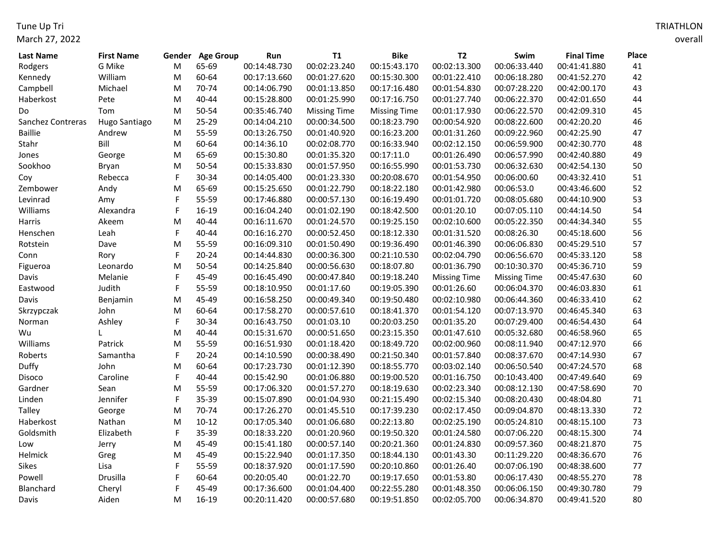Tune Up Tri March 27, 2022

| Last Name         | <b>First Name</b> |           | Gender Age Group | Run          | $\mathsf{T1}$       | <b>Bike</b>         | <b>T2</b>           | Swim                | <b>Final Time</b> | Place |
|-------------------|-------------------|-----------|------------------|--------------|---------------------|---------------------|---------------------|---------------------|-------------------|-------|
| Rodgers           | G Mike            | M         | 65-69            | 00:14:48.730 | 00:02:23.240        | 00:15:43.170        | 00:02:13.300        | 00:06:33.440        | 00:41:41.880      | 41    |
| Kennedy           | William           | ${\sf M}$ | 60-64            | 00:17:13.660 | 00:01:27.620        | 00:15:30.300        | 00:01:22.410        | 00:06:18.280        | 00:41:52.270      | 42    |
| Campbell          | Michael           | M         | 70-74            | 00:14:06.790 | 00:01:13.850        | 00:17:16.480        | 00:01:54.830        | 00:07:28.220        | 00:42:00.170      | 43    |
| Haberkost         | Pete              | M         | 40-44            | 00:15:28.800 | 00:01:25.990        | 00:17:16.750        | 00:01:27.740        | 00:06:22.370        | 00:42:01.650      | 44    |
| Do                | Tom               | ${\sf M}$ | 50-54            | 00:35:46.740 | <b>Missing Time</b> | <b>Missing Time</b> | 00:01:17.930        | 00:06:22.570        | 00:42:09.310      | 45    |
| Sanchez Contreras | Hugo Santiago     | M         | 25-29            | 00:14:04.210 | 00:00:34.500        | 00:18:23.790        | 00:00:54.920        | 00:08:22.600        | 00:42:20.20       | 46    |
| <b>Baillie</b>    | Andrew            | M         | 55-59            | 00:13:26.750 | 00:01:40.920        | 00:16:23.200        | 00:01:31.260        | 00:09:22.960        | 00:42:25.90       | 47    |
| Stahr             | Bill              | M         | 60-64            | 00:14:36.10  | 00:02:08.770        | 00:16:33.940        | 00:02:12.150        | 00:06:59.900        | 00:42:30.770      | 48    |
| Jones             | George            | M         | 65-69            | 00:15:30.80  | 00:01:35.320        | 00:17:11.0          | 00:01:26.490        | 00:06:57.990        | 00:42:40.880      | 49    |
| Sookhoo           | Bryan             | M         | 50-54            | 00:15:33.830 | 00:01:57.950        | 00:16:55.990        | 00:01:53.730        | 00:06:32.630        | 00:42:54.130      | 50    |
| Coy               | Rebecca           | F         | 30-34            | 00:14:05.400 | 00:01:23.330        | 00:20:08.670        | 00:01:54.950        | 00:06:00.60         | 00:43:32.410      | 51    |
| Zembower          | Andy              | M         | 65-69            | 00:15:25.650 | 00:01:22.790        | 00:18:22.180        | 00:01:42.980        | 00:06:53.0          | 00:43:46.600      | 52    |
| Levinrad          | Amy               |           | 55-59            | 00:17:46.880 | 00:00:57.130        | 00:16:19.490        | 00:01:01.720        | 00:08:05.680        | 00:44:10.900      | 53    |
| Williams          | Alexandra         | F         | 16-19            | 00:16:04.240 | 00:01:02.190        | 00:18:42.500        | 00:01:20.10         | 00:07:05.110        | 00:44:14.50       | 54    |
| Harris            | Akeem             | M         | 40-44            | 00:16:11.670 | 00:01:24.570        | 00:19:25.150        | 00:02:10.600        | 00:05:22.350        | 00:44:34.340      | 55    |
| Henschen          | Leah              | F         | 40-44            | 00:16:16.270 | 00:00:52.450        | 00:18:12.330        | 00:01:31.520        | 00:08:26.30         | 00:45:18.600      | 56    |
| Rotstein          | Dave              | M         | 55-59            | 00:16:09.310 | 00:01:50.490        | 00:19:36.490        | 00:01:46.390        | 00:06:06.830        | 00:45:29.510      | 57    |
| Conn              | Rory              | F         | $20 - 24$        | 00:14:44.830 | 00:00:36.300        | 00:21:10.530        | 00:02:04.790        | 00:06:56.670        | 00:45:33.120      | 58    |
| Figueroa          | Leonardo          | M         | 50-54            | 00:14:25.840 | 00:00:56.630        | 00:18:07.80         | 00:01:36.790        | 00:10:30.370        | 00:45:36.710      | 59    |
| Davis             | Melanie           | F         | 45-49            | 00:16:45.490 | 00:00:47.840        | 00:19:18.240        | <b>Missing Time</b> | <b>Missing Time</b> | 00:45:47.630      | 60    |
| Eastwood          | Judith            |           | 55-59            | 00:18:10.950 | 00:01:17.60         | 00:19:05.390        | 00:01:26.60         | 00:06:04.370        | 00:46:03.830      | 61    |
| Davis             | Benjamin          | M         | 45-49            | 00:16:58.250 | 00:00:49.340        | 00:19:50.480        | 00:02:10.980        | 00:06:44.360        | 00:46:33.410      | 62    |
| Skrzypczak        | John              | M         | 60-64            | 00:17:58.270 | 00:00:57.610        | 00:18:41.370        | 00:01:54.120        | 00:07:13.970        | 00:46:45.340      | 63    |
| Norman            | Ashley            | F         | 30-34            | 00:16:43.750 | 00:01:03.10         | 00:20:03.250        | 00:01:35.20         | 00:07:29.400        | 00:46:54.430      | 64    |
| Wu                |                   | M         | 40-44            | 00:15:31.670 | 00:00:51.650        | 00:23:15.350        | 00:01:47.610        | 00:05:32.680        | 00:46:58.960      | 65    |
| Williams          | Patrick           | M         | 55-59            | 00:16:51.930 | 00:01:18.420        | 00:18:49.720        | 00:02:00.960        | 00:08:11.940        | 00:47:12.970      | 66    |
| Roberts           | Samantha          | F         | $20 - 24$        | 00:14:10.590 | 00:00:38.490        | 00:21:50.340        | 00:01:57.840        | 00:08:37.670        | 00:47:14.930      | 67    |
| Duffy             | John              | M         | 60-64            | 00:17:23.730 | 00:01:12.390        | 00:18:55.770        | 00:03:02.140        | 00:06:50.540        | 00:47:24.570      | 68    |
| Disoco            | Caroline          | F         | 40-44            | 00:15:42.90  | 00:01:06.880        | 00:19:00.520        | 00:01:16.750        | 00:10:43.400        | 00:47:49.640      | 69    |
| Gardner           | Sean              | M         | 55-59            | 00:17:06.320 | 00:01:57.270        | 00:18:19.630        | 00:02:23.340        | 00:08:12.130        | 00:47:58.690      | 70    |
| Linden            | Jennifer          | F         | 35-39            | 00:15:07.890 | 00:01:04.930        | 00:21:15.490        | 00:02:15.340        | 00:08:20.430        | 00:48:04.80       | 71    |
| <b>Talley</b>     | George            | М         | 70-74            | 00:17:26.270 | 00:01:45.510        | 00:17:39.230        | 00:02:17.450        | 00:09:04.870        | 00:48:13.330      | 72    |
| Haberkost         | Nathan            | M         | $10 - 12$        | 00:17:05.340 | 00:01:06.680        | 00:22:13.80         | 00:02:25.190        | 00:05:24.810        | 00:48:15.100      | 73    |
| Goldsmith         | Elizabeth         | F         | 35-39            | 00:18:33.220 | 00:01:20.960        | 00:19:50.320        | 00:01:24.580        | 00:07:06.220        | 00:48:15.300      | 74    |
| Low               | Jerry             | M         | 45-49            | 00:15:41.180 | 00:00:57.140        | 00:20:21.360        | 00:01:24.830        | 00:09:57.360        | 00:48:21.870      | 75    |
| Helmick           | Greg              | M         | 45-49            | 00:15:22.940 | 00:01:17.350        | 00:18:44.130        | 00:01:43.30         | 00:11:29.220        | 00:48:36.670      | 76    |
| Sikes             | Lisa              |           | 55-59            | 00:18:37.920 | 00:01:17.590        | 00:20:10.860        | 00:01:26.40         | 00:07:06.190        | 00:48:38.600      | 77    |
| Powell            | Drusilla          |           | 60-64            | 00:20:05.40  | 00:01:22.70         | 00:19:17.650        | 00:01:53.80         | 00:06:17.430        | 00:48:55.270      | 78    |
| Blanchard         | Cheryl            |           | 45-49            | 00:17:36.600 | 00:01:04.400        | 00:22:55.280        | 00:01:48.350        | 00:06:06.150        | 00:49:30.780      | 79    |
| Davis             | Aiden             | M         | 16-19            | 00:20:11.420 | 00:00:57.680        | 00:19:51.850        | 00:02:05.700        | 00:06:34.870        | 00:49:41.520      | 80    |